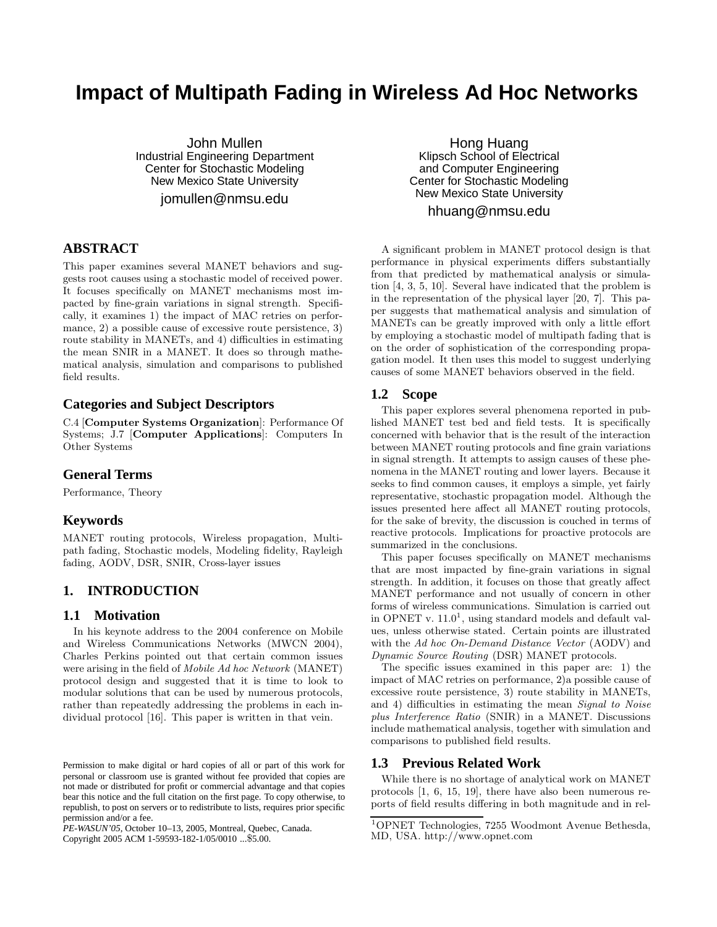# **Impact of Multipath Fading in Wireless Ad Hoc Networks**

John Mullen Industrial Engineering Department Center for Stochastic Modeling New Mexico State University

jomullen@nmsu.edu

# **ABSTRACT**

This paper examines several MANET behaviors and suggests root causes using a stochastic model of received power. It focuses specifically on MANET mechanisms most impacted by fine-grain variations in signal strength. Specifically, it examines 1) the impact of MAC retries on performance, 2) a possible cause of excessive route persistence, 3) route stability in MANETs, and 4) difficulties in estimating the mean SNIR in a MANET. It does so through mathematical analysis, simulation and comparisons to published field results.

# **Categories and Subject Descriptors**

C.4 [**Computer Systems Organization**]: Performance Of Systems; J.7 [**Computer Applications**]: Computers In Other Systems

# **General Terms**

Performance, Theory

# **Keywords**

MANET routing protocols, Wireless propagation, Multipath fading, Stochastic models, Modeling fidelity, Rayleigh fading, AODV, DSR, SNIR, Cross-layer issues

# **1. INTRODUCTION**

### **1.1 Motivation**

In his keynote address to the 2004 conference on Mobile and Wireless Communications Networks (MWCN 2004), Charles Perkins pointed out that certain common issues were arising in the field of *Mobile Ad hoc Network* (MANET) protocol design and suggested that it is time to look to modular solutions that can be used by numerous protocols, rather than repeatedly addressing the problems in each individual protocol [16]. This paper is written in that vein.

*PE-WASUN'05,* October 10–13, 2005, Montreal, Quebec, Canada.

Copyright 2005 ACM 1-59593-182-1/05/0010 ...\$5.00.

Hong Huang Klipsch School of Electrical and Computer Engineering Center for Stochastic Modeling New Mexico State University

# hhuang@nmsu.edu

A significant problem in MANET protocol design is that performance in physical experiments differs substantially from that predicted by mathematical analysis or simulation [4, 3, 5, 10]. Several have indicated that the problem is in the representation of the physical layer [20, 7]. This paper suggests that mathematical analysis and simulation of MANETs can be greatly improved with only a little effort by employing a stochastic model of multipath fading that is on the order of sophistication of the corresponding propagation model. It then uses this model to suggest underlying causes of some MANET behaviors observed in the field.

### **1.2 Scope**

This paper explores several phenomena reported in published MANET test bed and field tests. It is specifically concerned with behavior that is the result of the interaction between MANET routing protocols and fine grain variations in signal strength. It attempts to assign causes of these phenomena in the MANET routing and lower layers. Because it seeks to find common causes, it employs a simple, yet fairly representative, stochastic propagation model. Although the issues presented here affect all MANET routing protocols, for the sake of brevity, the discussion is couched in terms of reactive protocols. Implications for proactive protocols are summarized in the conclusions.

This paper focuses specifically on MANET mechanisms that are most impacted by fine-grain variations in signal strength. In addition, it focuses on those that greatly affect MANET performance and not usually of concern in other forms of wireless communications. Simulation is carried out in OPNET v.  $11.0<sup>1</sup>$ , using standard models and default values, unless otherwise stated. Certain points are illustrated with the *Ad hoc On-Demand Distance Vector* (AODV) and *Dynamic Source Routing* (DSR) MANET protocols.

The specific issues examined in this paper are: 1) the impact of MAC retries on performance, 2)a possible cause of excessive route persistence, 3) route stability in MANETs, and 4) difficulties in estimating the mean *Signal to Noise plus Interference Ratio* (SNIR) in a MANET. Discussions include mathematical analysis, together with simulation and comparisons to published field results.

### **1.3 Previous Related Work**

While there is no shortage of analytical work on MANET protocols [1, 6, 15, 19], there have also been numerous reports of field results differing in both magnitude and in rel-

Permission to make digital or hard copies of all or part of this work for personal or classroom use is granted without fee provided that copies are not made or distributed for profit or commercial advantage and that copies bear this notice and the full citation on the first page. To copy otherwise, to republish, to post on servers or to redistribute to lists, requires prior specific permission and/or a fee.

<sup>1</sup>OPNET Technologies, 7255 Woodmont Avenue Bethesda, MD, USA. http://www.opnet.com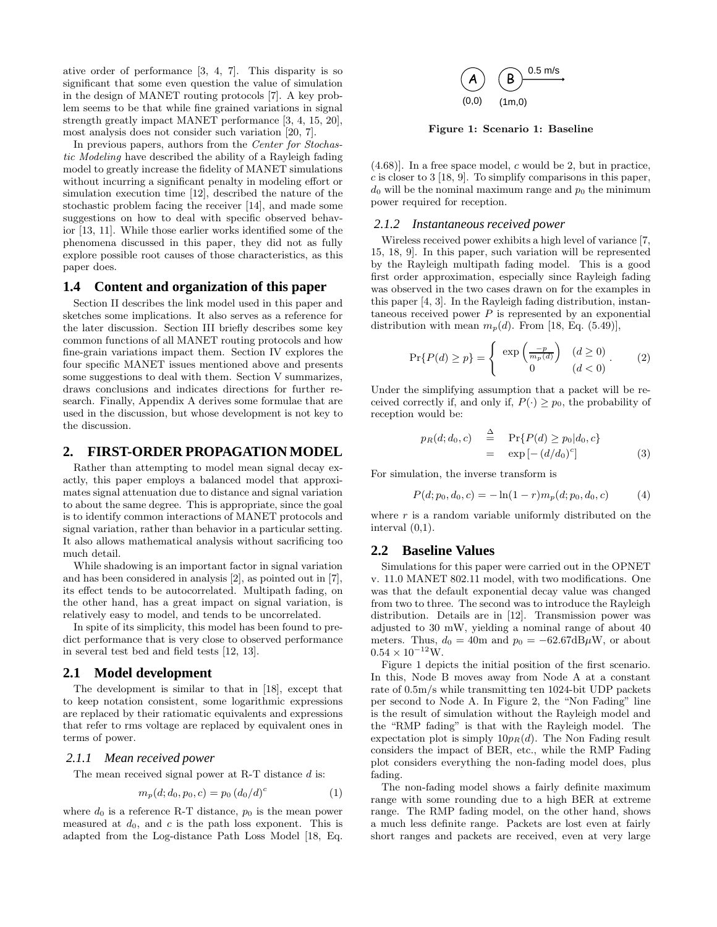ative order of performance [3, 4, 7]. This disparity is so significant that some even question the value of simulation in the design of MANET routing protocols [7]. A key problem seems to be that while fine grained variations in signal strength greatly impact MANET performance [3, 4, 15, 20], most analysis does not consider such variation [20, 7].

In previous papers, authors from the *Center for Stochastic Modeling* have described the ability of a Rayleigh fading model to greatly increase the fidelity of MANET simulations without incurring a significant penalty in modeling effort or simulation execution time [12], described the nature of the stochastic problem facing the receiver [14], and made some suggestions on how to deal with specific observed behavior [13, 11]. While those earlier works identified some of the phenomena discussed in this paper, they did not as fully explore possible root causes of those characteristics, as this paper does.

#### **1.4 Content and organization of this paper**

Section II describes the link model used in this paper and sketches some implications. It also serves as a reference for the later discussion. Section III briefly describes some key common functions of all MANET routing protocols and how fine-grain variations impact them. Section IV explores the four specific MANET issues mentioned above and presents some suggestions to deal with them. Section V summarizes, draws conclusions and indicates directions for further research. Finally, Appendix A derives some formulae that are used in the discussion, but whose development is not key to the discussion.

### **2. FIRST-ORDER PROPAGATION MODEL**

Rather than attempting to model mean signal decay exactly, this paper employs a balanced model that approximates signal attenuation due to distance and signal variation to about the same degree. This is appropriate, since the goal is to identify common interactions of MANET protocols and signal variation, rather than behavior in a particular setting. It also allows mathematical analysis without sacrificing too much detail.

While shadowing is an important factor in signal variation and has been considered in analysis [2], as pointed out in [7], its effect tends to be autocorrelated. Multipath fading, on the other hand, has a great impact on signal variation, is relatively easy to model, and tends to be uncorrelated.

In spite of its simplicity, this model has been found to predict performance that is very close to observed performance in several test bed and field tests [12, 13].

#### **2.1 Model development**

The development is similar to that in [18], except that to keep notation consistent, some logarithmic expressions are replaced by their ratiomatic equivalents and expressions that refer to rms voltage are replaced by equivalent ones in terms of power.

#### *2.1.1 Mean received power*

The mean received signal power at R-T distance d is:

$$
m_p(d; d_0, p_0, c) = p_0 (d_0/d)^c \tag{1}
$$

where  $d_0$  is a reference R-T distance,  $p_0$  is the mean power measured at  $d_0$ , and c is the path loss exponent. This is adapted from the Log-distance Path Loss Model [18, Eq.



**Figure 1: Scenario 1: Baseline**

 $(4.68)$ ]. In a free space model, c would be 2, but in practice,  $c$  is closer to 3 [18, 9]. To simplify comparisons in this paper,  $d_0$  will be the nominal maximum range and  $p_0$  the minimum power required for reception.

#### *2.1.2 Instantaneous received power*

Wireless received power exhibits a high level of variance [7, 15, 18, 9]. In this paper, such variation will be represented by the Rayleigh multipath fading model. This is a good first order approximation, especially since Rayleigh fading was observed in the two cases drawn on for the examples in this paper [4, 3]. In the Rayleigh fading distribution, instantaneous received power  $P$  is represented by an exponential distribution with mean  $m_p(d)$ . From [18, Eq. (5.49)],

$$
\Pr\{P(d) \ge p\} = \begin{cases} \exp\left(\frac{-p}{m_p(d)}\right) & (d \ge 0) \\ 0 & (d < 0) \end{cases} . \tag{2}
$$

Under the simplifying assumption that a packet will be received correctly if, and only if,  $P(\cdot) > p_0$ , the probability of reception would be:

$$
p_R(d; d_0, c) \stackrel{\Delta}{=} \Pr\{P(d) \ge p_0 | d_0, c\}
$$
  
= 
$$
\exp\left[-\left(d/d_0\right)^c\right]
$$
 (3)

For simulation, the inverse transform is

$$
P(d; p_0, d_0, c) = -\ln(1 - r) m_p(d; p_0, d_0, c)
$$
 (4)

where  $r$  is a random variable uniformly distributed on the interval (0,1).

### **2.2 Baseline Values**

Simulations for this paper were carried out in the OPNET v. 11.0 MANET 802.11 model, with two modifications. One was that the default exponential decay value was changed from two to three. The second was to introduce the Rayleigh distribution. Details are in [12]. Transmission power was adjusted to 30 mW, yielding a nominal range of about 40 meters. Thus,  $d_0 = 40$ m and  $p_0 = -62.67 \text{dB}\mu\text{W}$ , or about  $0.54 \times 10^{-12}$  W.

Figure 1 depicts the initial position of the first scenario. In this, Node B moves away from Node A at a constant rate of 0.5m/s while transmitting ten 1024-bit UDP packets per second to Node A. In Figure 2, the "Non Fading" line is the result of simulation without the Rayleigh model and the "RMP fading" is that with the Rayleigh model. The expectation plot is simply  $10p_R(d)$ . The Non Fading result considers the impact of BER, etc., while the RMP Fading plot considers everything the non-fading model does, plus fading.

The non-fading model shows a fairly definite maximum range with some rounding due to a high BER at extreme range. The RMP fading model, on the other hand, shows a much less definite range. Packets are lost even at fairly short ranges and packets are received, even at very large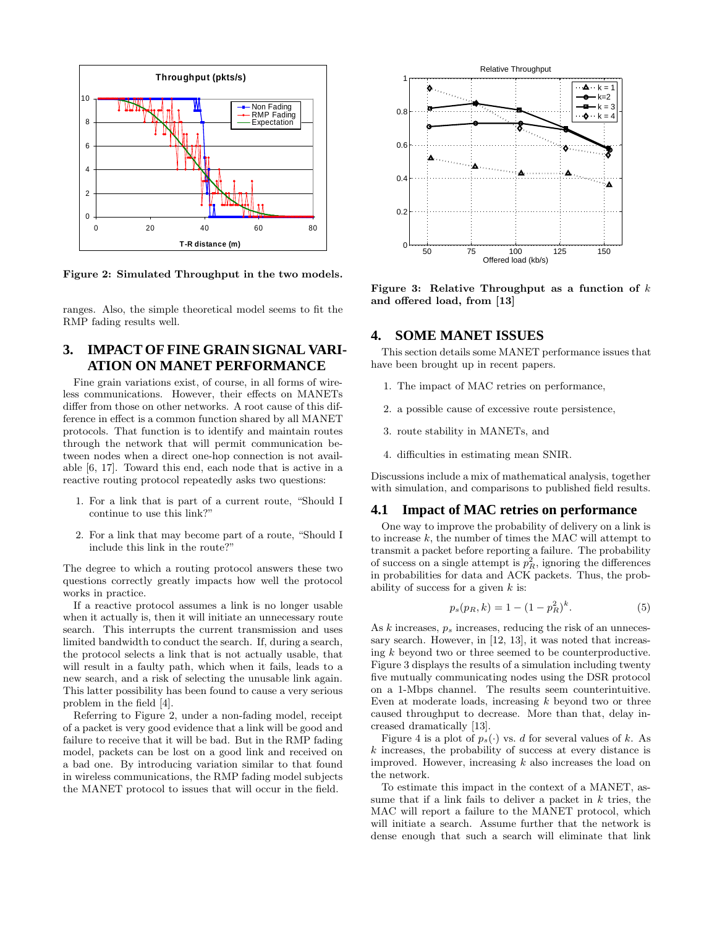

**Figure 2: Simulated Throughput in the two models.**

ranges. Also, the simple theoretical model seems to fit the RMP fading results well.

# **3. IMPACT OF FINE GRAIN SIGNAL VARI-ATION ON MANET PERFORMANCE**

Fine grain variations exist, of course, in all forms of wireless communications. However, their effects on MANETs differ from those on other networks. A root cause of this difference in effect is a common function shared by all MANET protocols. That function is to identify and maintain routes through the network that will permit communication between nodes when a direct one-hop connection is not available [6, 17]. Toward this end, each node that is active in a reactive routing protocol repeatedly asks two questions:

- 1. For a link that is part of a current route, "Should I continue to use this link?"
- 2. For a link that may become part of a route, "Should I include this link in the route?"

The degree to which a routing protocol answers these two questions correctly greatly impacts how well the protocol works in practice.

If a reactive protocol assumes a link is no longer usable when it actually is, then it will initiate an unnecessary route search. This interrupts the current transmission and uses limited bandwidth to conduct the search. If, during a search, the protocol selects a link that is not actually usable, that will result in a faulty path, which when it fails, leads to a new search, and a risk of selecting the unusable link again. This latter possibility has been found to cause a very serious problem in the field [4].

Referring to Figure 2, under a non-fading model, receipt of a packet is very good evidence that a link will be good and failure to receive that it will be bad. But in the RMP fading model, packets can be lost on a good link and received on a bad one. By introducing variation similar to that found in wireless communications, the RMP fading model subjects the MANET protocol to issues that will occur in the field.



**Figure 3: Relative Throughput as a function of** k **and offered load, from [13]**

### **4. SOME MANET ISSUES**

This section details some MANET performance issues that have been brought up in recent papers.

- 1. The impact of MAC retries on performance,
- 2. a possible cause of excessive route persistence,
- 3. route stability in MANETs, and
- 4. difficulties in estimating mean SNIR.

Discussions include a mix of mathematical analysis, together with simulation, and comparisons to published field results.

### **4.1 Impact of MAC retries on performance**

One way to improve the probability of delivery on a link is to increase k, the number of times the MAC will attempt to transmit a packet before reporting a failure. The probability of success on a single attempt is  $p_R^2$ , ignoring the differences in probabilities for data and ACK packets. Thus, the probability of success for a given  $k$  is:

$$
p_s(p_R, k) = 1 - (1 - p_R^2)^k.
$$
 (5)

As k increases,  $p<sub>s</sub>$  increases, reducing the risk of an unnecessary search. However, in [12, 13], it was noted that increasing k beyond two or three seemed to be counterproductive. Figure 3 displays the results of a simulation including twenty five mutually communicating nodes using the DSR protocol on a 1-Mbps channel. The results seem counterintuitive. Even at moderate loads, increasing  $k$  beyond two or three caused throughput to decrease. More than that, delay increased dramatically [13].

Figure 4 is a plot of  $p_s(\cdot)$  vs. d for several values of k. As k increases, the probability of success at every distance is improved. However, increasing  $k$  also increases the load on the network.

To estimate this impact in the context of a MANET, assume that if a link fails to deliver a packet in  $k$  tries, the MAC will report a failure to the MANET protocol, which will initiate a search. Assume further that the network is dense enough that such a search will eliminate that link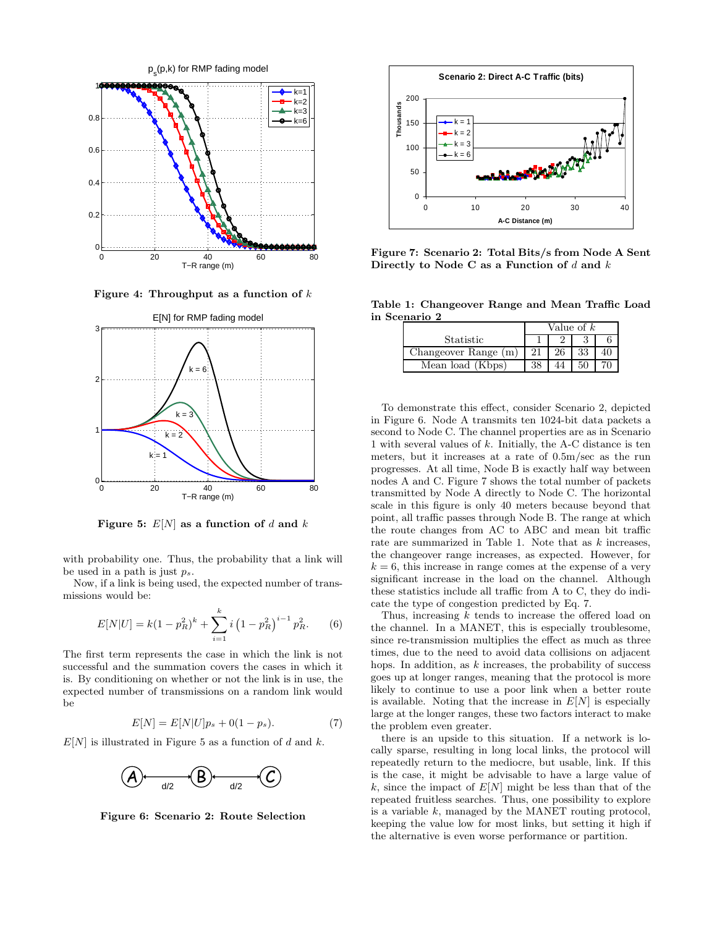

**Figure 4: Throughput as a function of** k



**Figure 5:**  $E[N]$  as a function of d and k

with probability one. Thus, the probability that a link will be used in a path is just p*s*.

Now, if a link is being used, the expected number of transmissions would be:

$$
E[N|U] = k(1 - p_R^2)^k + \sum_{i=1}^k i \left(1 - p_R^2\right)^{i-1} p_R^2.
$$
 (6)

The first term represents the case in which the link is not successful and the summation covers the cases in which it is. By conditioning on whether or not the link is in use, the expected number of transmissions on a random link would be

$$
E[N] = E[N|U]p_s + 0(1 - p_s). \tag{7}
$$

 $E[N]$  is illustrated in Figure 5 as a function of d and k.



**Figure 6: Scenario 2: Route Selection**



**Figure 7: Scenario 2: Total Bits/s from Node A Sent Directly to Node C as a Function of** d **and** k

**Table 1: Changeover Range and Mean Traffic Load in Scenario 2**

|                      | Value of $k$ |    |    |  |
|----------------------|--------------|----|----|--|
| Statistic            |              |    |    |  |
| Changeover Range (m) | 21           | 26 | 33 |  |
| Mean load (Kbps)     | 38           |    |    |  |

To demonstrate this effect, consider Scenario 2, depicted in Figure 6. Node A transmits ten 1024-bit data packets a second to Node C. The channel properties are as in Scenario 1 with several values of  $k$ . Initially, the A-C distance is ten meters, but it increases at a rate of 0.5m/sec as the run progresses. At all time, Node B is exactly half way between nodes A and C. Figure 7 shows the total number of packets transmitted by Node A directly to Node C. The horizontal scale in this figure is only 40 meters because beyond that point, all traffic passes through Node B. The range at which the route changes from AC to ABC and mean bit traffic rate are summarized in Table 1. Note that as k increases, the changeover range increases, as expected. However, for  $k = 6$ , this increase in range comes at the expense of a very significant increase in the load on the channel. Although these statistics include all traffic from A to C, they do indicate the type of congestion predicted by Eq. 7.

Thus, increasing k tends to increase the offered load on the channel. In a MANET, this is especially troublesome, since re-transmission multiplies the effect as much as three times, due to the need to avoid data collisions on adjacent hops. In addition, as  $k$  increases, the probability of success goes up at longer ranges, meaning that the protocol is more likely to continue to use a poor link when a better route is available. Noting that the increase in  $E[N]$  is especially large at the longer ranges, these two factors interact to make the problem even greater.

there is an upside to this situation. If a network is locally sparse, resulting in long local links, the protocol will repeatedly return to the mediocre, but usable, link. If this is the case, it might be advisable to have a large value of k, since the impact of  $E[N]$  might be less than that of the repeated fruitless searches. Thus, one possibility to explore is a variable  $k$ , managed by the MANET routing protocol, keeping the value low for most links, but setting it high if the alternative is even worse performance or partition.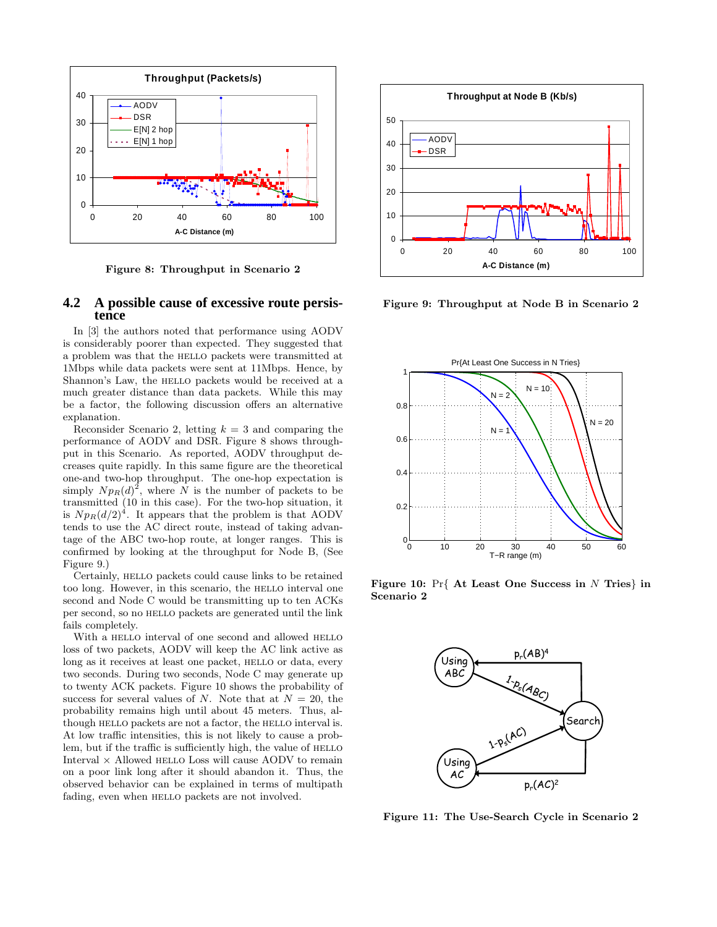

**Figure 8: Throughput in Scenario 2**

### **4.2 A possible cause of excessive route persistence**

In [3] the authors noted that performance using AODV is considerably poorer than expected. They suggested that a problem was that the hello packets were transmitted at 1Mbps while data packets were sent at 11Mbps. Hence, by Shannon's Law, the HELLO packets would be received at a much greater distance than data packets. While this may be a factor, the following discussion offers an alternative explanation.

Reconsider Scenario 2, letting  $k = 3$  and comparing the performance of AODV and DSR. Figure 8 shows throughput in this Scenario. As reported, AODV throughput decreases quite rapidly. In this same figure are the theoretical one-and two-hop throughput. The one-hop expectation is simply  $N p_R(d)^2$ , where N is the number of packets to be transmitted (10 in this case). For the two-hop situation, it is  $Np_R(d/2)^4$ . It appears that the problem is that AODV tends to use the AC direct route, instead of taking advantage of the ABC two-hop route, at longer ranges. This is confirmed by looking at the throughput for Node B, (See Figure 9.)

Certainly, HELLO packets could cause links to be retained too long. However, in this scenario, the HELLO interval one second and Node C would be transmitting up to ten ACKs per second, so no HELLO packets are generated until the link fails completely.

With a HELLO interval of one second and allowed HELLO loss of two packets, AODV will keep the AC link active as long as it receives at least one packet, HELLO or data, every two seconds. During two seconds, Node C may generate up to twenty ACK packets. Figure 10 shows the probability of success for several values of N. Note that at  $N = 20$ , the probability remains high until about 45 meters. Thus, although HELLO packets are not a factor, the HELLO interval is. At low traffic intensities, this is not likely to cause a problem, but if the traffic is sufficiently high, the value of HELLO Interval  $\times$  Allowed HELLO Loss will cause AODV to remain on a poor link long after it should abandon it. Thus, the observed behavior can be explained in terms of multipath fading, even when HELLO packets are not involved.



**Figure 9: Throughput at Node B in Scenario 2**



**Figure 10:** Pr{ **At Least One Success in** N **Tries**} **in Scenario 2**



**Figure 11: The Use-Search Cycle in Scenario 2**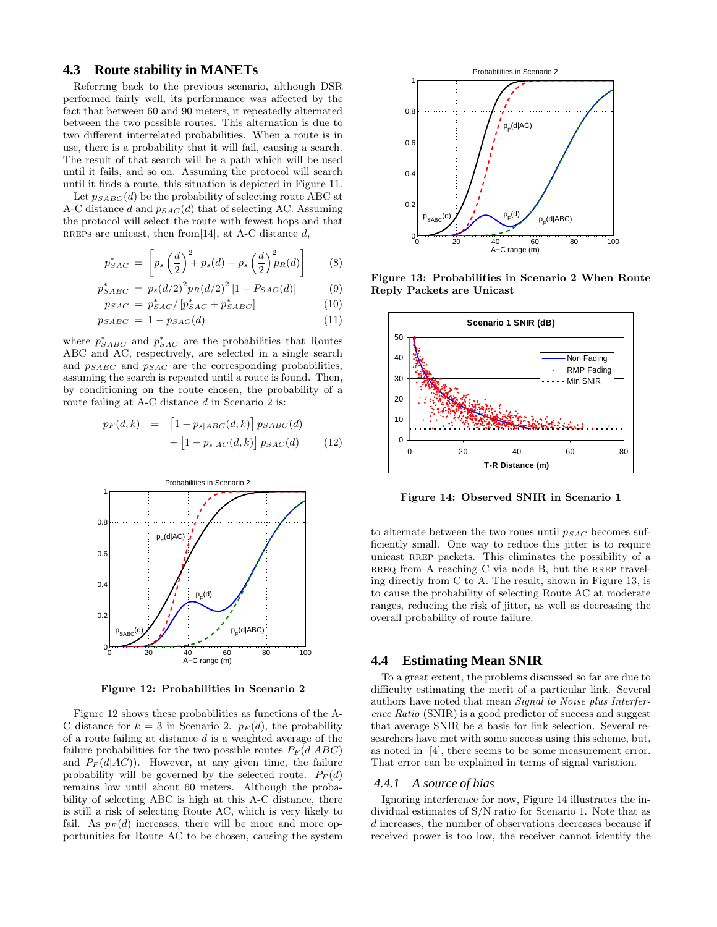### **4.3 Route stability in MANETs**

Referring back to the previous scenario, although DSR performed fairly well, its performance was affected by the fact that between 60 and 90 meters, it repeatedly alternated between the two possible routes. This alternation is due to two different interrelated probabilities. When a route is in use, there is a probability that it will fail, causing a search. The result of that search will be a path which will be used until it fails, and so on. Assuming the protocol will search until it finds a route, this situation is depicted in Figure 11.

Let  $p_{SABC}(d)$  be the probability of selecting route ABC at A-C distance d and p*SAC*(d) that of selecting AC. Assuming the protocol will select the route with fewest hops and that RREPs are unicast, then from [14], at A-C distance d,

$$
p_{SAC}^* = \left[ p_s \left( \frac{d}{2} \right)^2 + p_s(d) - p_s \left( \frac{d}{2} \right)^2 p_R(d) \right]
$$
 (8)

$$
p_{SABC}^* = p_s (d/2)^2 p_R (d/2)^2 [1 - P_{SAC}(d)] \tag{9}
$$

$$
p_{SAC} = p_{SAC}^* / [p_{SAC}^* + p_{SABC}^*]
$$
 (10)

$$
p_{SABC} = 1 - p_{SAC}(d) \tag{11}
$$

where  $p_{SABC}^*$  and  $p_{SAC}^*$  are the probabilities that Routes ABC and AC, respectively, are selected in a single search and p*SABC* and p*SAC* are the corresponding probabilities, assuming the search is repeated until a route is found. Then, by conditioning on the route chosen, the probability of a route failing at A-C distance d in Scenario 2 is:

$$
p_F(d,k) = [1 - p_{s|ABC}(d;k)] p_{SABC}(d)
$$

$$
+ [1 - p_{s|AC}(d;k)] p_{SAC}(d)
$$
(12)



**Figure 12: Probabilities in Scenario 2**

Figure 12 shows these probabilities as functions of the A-C distance for  $k = 3$  in Scenario 2.  $p_F(d)$ , the probability of a route failing at distance d is a weighted average of the failure probabilities for the two possible routes  $P_F(d|ABC)$ and  $P_F(d|AC)$ ). However, at any given time, the failure probability will be governed by the selected route.  $P_F(d)$ remains low until about 60 meters. Although the probability of selecting ABC is high at this A-C distance, there is still a risk of selecting Route AC, which is very likely to fail. As  $p_F(d)$  increases, there will be more and more opportunities for Route AC to be chosen, causing the system



**Figure 13: Probabilities in Scenario 2 When Route Reply Packets are Unicast**



**Figure 14: Observed SNIR in Scenario 1**

to alternate between the two roues until p*SAC* becomes sufficiently small. One way to reduce this jitter is to require unicast RREP packets. This eliminates the possibility of a  $RREO$  from A reaching C via node B, but the RREP traveling directly from C to A. The result, shown in Figure 13, is to cause the probability of selecting Route AC at moderate ranges, reducing the risk of jitter, as well as decreasing the overall probability of route failure.

#### **4.4 Estimating Mean SNIR**

To a great extent, the problems discussed so far are due to difficulty estimating the merit of a particular link. Several authors have noted that mean *Signal to Noise plus Interference Ratio* (SNIR) is a good predictor of success and suggest that average SNIR be a basis for link selection. Several researchers have met with some success using this scheme, but, as noted in [4], there seems to be some measurement error. That error can be explained in terms of signal variation.

### *4.4.1 A source of bias*

Ignoring interference for now, Figure 14 illustrates the individual estimates of S/N ratio for Scenario 1. Note that as d increases, the number of observations decreases because if received power is too low, the receiver cannot identify the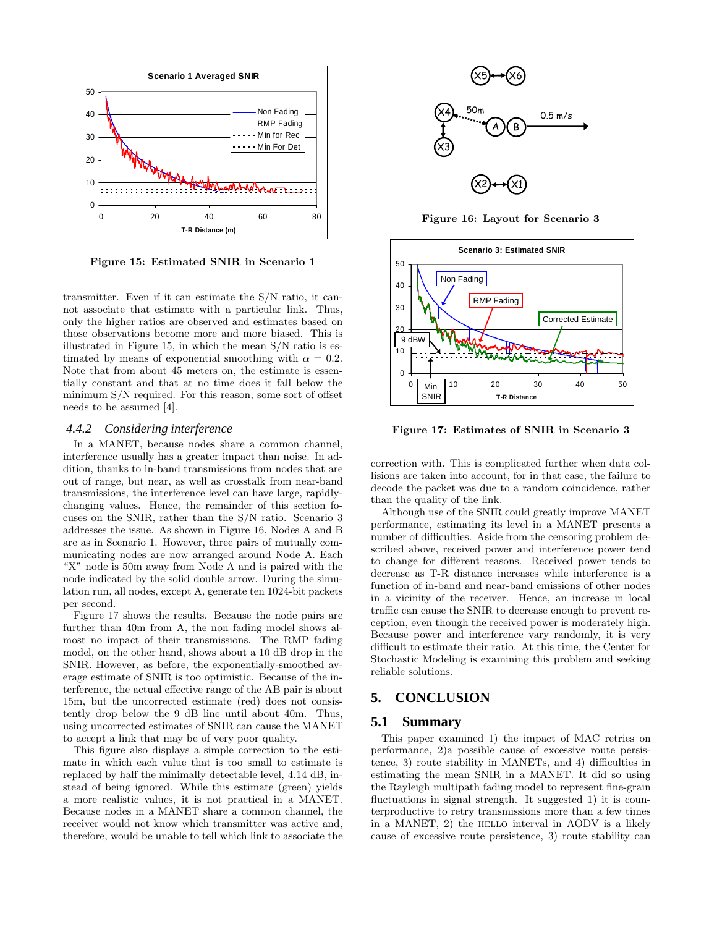

**Figure 15: Estimated SNIR in Scenario 1**

transmitter. Even if it can estimate the S/N ratio, it cannot associate that estimate with a particular link. Thus, only the higher ratios are observed and estimates based on those observations become more and more biased. This is illustrated in Figure 15, in which the mean S/N ratio is estimated by means of exponential smoothing with  $\alpha = 0.2$ . Note that from about 45 meters on, the estimate is essentially constant and that at no time does it fall below the minimum S/N required. For this reason, some sort of offset needs to be assumed [4].

#### *4.4.2 Considering interference*

In a MANET, because nodes share a common channel, interference usually has a greater impact than noise. In addition, thanks to in-band transmissions from nodes that are out of range, but near, as well as crosstalk from near-band transmissions, the interference level can have large, rapidlychanging values. Hence, the remainder of this section focuses on the SNIR, rather than the S/N ratio. Scenario 3 addresses the issue. As shown in Figure 16, Nodes A and B are as in Scenario 1. However, three pairs of mutually communicating nodes are now arranged around Node A. Each "X" node is 50m away from Node A and is paired with the node indicated by the solid double arrow. During the simulation run, all nodes, except A, generate ten 1024-bit packets per second.

Figure 17 shows the results. Because the node pairs are further than 40m from A, the non fading model shows almost no impact of their transmissions. The RMP fading model, on the other hand, shows about a 10 dB drop in the SNIR. However, as before, the exponentially-smoothed average estimate of SNIR is too optimistic. Because of the interference, the actual effective range of the AB pair is about 15m, but the uncorrected estimate (red) does not consistently drop below the 9 dB line until about 40m. Thus, using uncorrected estimates of SNIR can cause the MANET to accept a link that may be of very poor quality.

This figure also displays a simple correction to the estimate in which each value that is too small to estimate is replaced by half the minimally detectable level, 4.14 dB, instead of being ignored. While this estimate (green) yields a more realistic values, it is not practical in a MANET. Because nodes in a MANET share a common channel, the receiver would not know which transmitter was active and, therefore, would be unable to tell which link to associate the



**Figure 16: Layout for Scenario 3**



**Figure 17: Estimates of SNIR in Scenario 3**

correction with. This is complicated further when data collisions are taken into account, for in that case, the failure to decode the packet was due to a random coincidence, rather than the quality of the link.

Although use of the SNIR could greatly improve MANET performance, estimating its level in a MANET presents a number of difficulties. Aside from the censoring problem described above, received power and interference power tend to change for different reasons. Received power tends to decrease as T-R distance increases while interference is a function of in-band and near-band emissions of other nodes in a vicinity of the receiver. Hence, an increase in local traffic can cause the SNIR to decrease enough to prevent reception, even though the received power is moderately high. Because power and interference vary randomly, it is very difficult to estimate their ratio. At this time, the Center for Stochastic Modeling is examining this problem and seeking reliable solutions.

# **5. CONCLUSION**

#### **5.1 Summary**

This paper examined 1) the impact of MAC retries on performance, 2)a possible cause of excessive route persistence, 3) route stability in MANETs, and 4) difficulties in estimating the mean SNIR in a MANET. It did so using the Rayleigh multipath fading model to represent fine-grain fluctuations in signal strength. It suggested 1) it is counterproductive to retry transmissions more than a few times in a MANET,  $2$ ) the HELLO interval in AODV is a likely cause of excessive route persistence, 3) route stability can